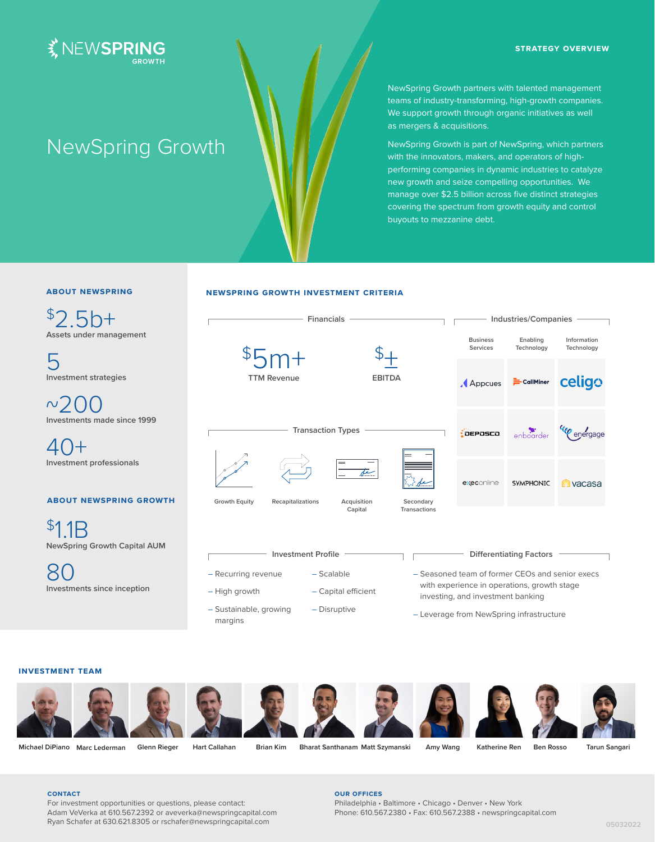



# NewSpring Growth

NewSpring Growth partners with talented management teams of industry-transforming, high-growth companies. We support growth through organic initiatives as well as mergers & acquisitions.

NewSpring Growth is part of NewSpring, which partners with the innovators, makers, and operators of highperforming companies in dynamic industries to catalyze new growth and seize compelling opportunities. We manage over \$2.5 billion across five distinct strategies covering the spectrum from growth equity and control buyouts to mezzanine debt.

# **about newspring**

 $$25h+$ **Assets under management**

5 **Investment strategies**

 $\sim$ 200 **Investments made since 1999**

40+ **Investment professionals**

# **about newspring growth**

\$11<sub>B</sub> **NewSpring Growth Capital AUM**

80 **Investments since inception**

# **newspring growth investment criteria**



– Leverage from NewSpring infrastructure

# **investment team**



margins

**Michael DiPiano Marc Lederman Glenn Rieger Hart Callahan Brian Kim Bharat Santhanam Matt Szymanski Amy Wang Katherine Ren Ben Rosso Tarun Sangari**

#### **contact**

For investment opportunities or questions, please contact: Adam VeVerka at 610.567.2392 or aveverka@newspringcapital.com Ryan Schafer at 630.621.8305 or rschafer@newspringcapital.com

## **our offices**

Philadelphia • Baltimore • Chicago • Denver • New York Phone: 610.567.2380 • Fax: 610.567.2388 • newspringcapital.com